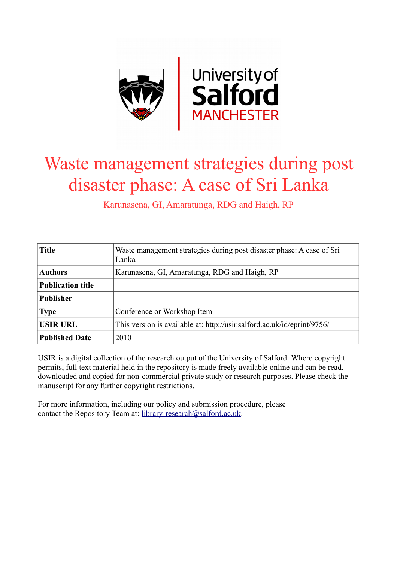

# Waste management strategies during post disaster phase: A case of Sri Lanka

Karunasena, GI, Amaratunga, RDG and Haigh, RP

| <b>Title</b>             | Waste management strategies during post disaster phase: A case of Sri<br>Lanka |  |
|--------------------------|--------------------------------------------------------------------------------|--|
| <b>Authors</b>           | Karunasena, GI, Amaratunga, RDG and Haigh, RP                                  |  |
| <b>Publication title</b> |                                                                                |  |
| <b>Publisher</b>         |                                                                                |  |
| <b>Type</b>              | Conference or Workshop Item                                                    |  |
| <b>USIR URL</b>          | This version is available at: http://usir.salford.ac.uk/id/eprint/9756/        |  |
| <b>Published Date</b>    | 2010                                                                           |  |

USIR is a digital collection of the research output of the University of Salford. Where copyright permits, full text material held in the repository is made freely available online and can be read, downloaded and copied for non-commercial private study or research purposes. Please check the manuscript for any further copyright restrictions.

For more information, including our policy and submission procedure, please contact the Repository Team at: [library-research@salford.ac.uk.](mailto:library-research@salford.ac.uk)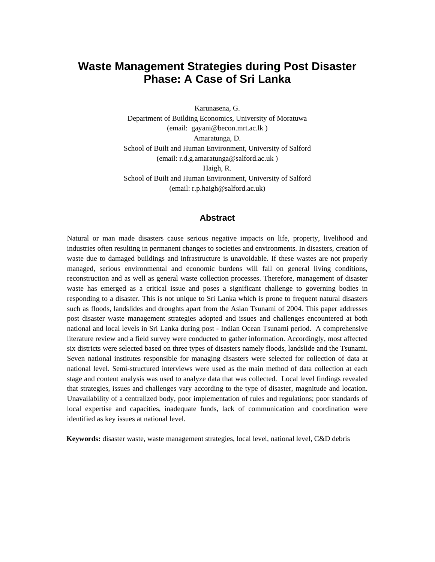# **Waste Management Strategies during Post Disaster Phase: A Case of Sri Lanka**

Karunasena, G. Department of Building Economics, University of Moratuwa (email: gayani@becon.mrt.ac.lk ) Amaratunga, D. School of Built and Human Environment, University of Salford (email: r.d.g.amaratunga@salford.ac.uk ) Haigh, R. School of Built and Human Environment, University of Salford (email: r.p.haigh@salford.ac.uk)

#### **Abstract**

Natural or man made disasters cause serious negative impacts on life, property, livelihood and industries often resulting in permanent changes to societies and environments. In disasters, creation of waste due to damaged buildings and infrastructure is unavoidable. If these wastes are not properly managed, serious environmental and economic burdens will fall on general living conditions, reconstruction and as well as general waste collection processes. Therefore, management of disaster waste has emerged as a critical issue and poses a significant challenge to governing bodies in responding to a disaster. This is not unique to Sri Lanka which is prone to frequent natural disasters such as floods, landslides and droughts apart from the Asian Tsunami of 2004. This paper addresses post disaster waste management strategies adopted and issues and challenges encountered at both national and local levels in Sri Lanka during post - Indian Ocean Tsunami period. A comprehensive literature review and a field survey were conducted to gather information. Accordingly, most affected six districts were selected based on three types of disasters namely floods, landslide and the Tsunami. Seven national institutes responsible for managing disasters were selected for collection of data at national level. Semi-structured interviews were used as the main method of data collection at each stage and content analysis was used to analyze data that was collected. Local level findings revealed that strategies, issues and challenges vary according to the type of disaster, magnitude and location. Unavailability of a centralized body, poor implementation of rules and regulations; poor standards of local expertise and capacities, inadequate funds, lack of communication and coordination were identified as key issues at national level.

**Keywords:** disaster waste, waste management strategies, local level, national level, C&D debris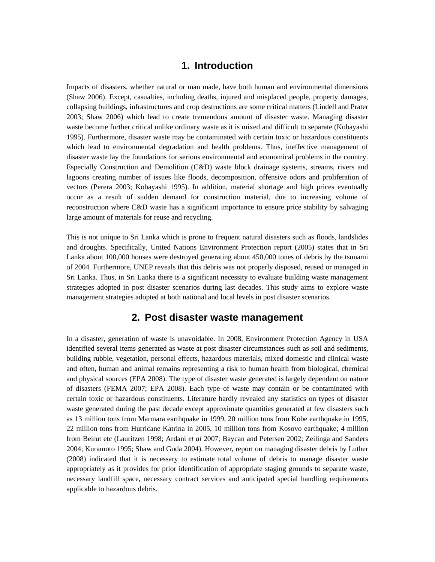# **1. Introduction**

Impacts of disasters, whether natural or man made, have both human and environmental dimensions (Shaw 2006). Except, casualties, including deaths, injured and misplaced people, property damages, collapsing buildings, infrastructures and crop destructions are some critical matters (Lindell and Prater 2003; Shaw 2006) which lead to create tremendous amount of disaster waste. Managing disaster waste become further critical unlike ordinary waste as it is mixed and difficult to separate (Kobayashi 1995). Furthermore, disaster waste may be contaminated with certain toxic or hazardous constituents which lead to environmental degradation and health problems. Thus, ineffective management of disaster waste lay the foundations for serious environmental and economical problems in the country. Especially Construction and Demolition (C&D) waste block drainage systems, streams, rivers and lagoons creating number of issues like floods, decomposition, offensive odors and proliferation of vectors (Perera 2003; Kobayashi 1995). In addition, material shortage and high prices eventually occur as a result of sudden demand for construction material, due to increasing volume of reconstruction where C&D waste has a significant importance to ensure price stability by salvaging large amount of materials for reuse and recycling.

This is not unique to Sri Lanka which is prone to frequent natural disasters such as floods, landslides and droughts. Specifically, United Nations Environment Protection report (2005) states that in Sri Lanka about 100,000 houses were destroyed generating about 450,000 tones of debris by the tsunami of 2004. Furthermore, UNEP reveals that this debris was not properly disposed, reused or managed in Sri Lanka. Thus, in Sri Lanka there is a significant necessity to evaluate building waste management strategies adopted in post disaster scenarios during last decades. This study aims to explore waste management strategies adopted at both national and local levels in post disaster scenarios.

## **2. Post disaster waste management**

In a disaster, generation of waste is unavoidable. In 2008, Environment Protection Agency in USA identified several items generated as waste at post disaster circumstances such as soil and sediments, building rubble, vegetation, personal effects, hazardous materials, mixed domestic and clinical waste and often, human and animal remains representing a risk to human health from biological, chemical and physical sources (EPA 2008). The type of disaster waste generated is largely dependent on nature of disasters (FEMA 2007; EPA 2008). Each type of waste may contain or be contaminated with certain toxic or hazardous constituents. Literature hardly revealed any statistics on types of disaster waste generated during the past decade except approximate quantities generated at few disasters such as 13 million tons from Marmara earthquake in 1999, 20 million tons from Kobe earthquake in 1995, 22 million tons from Hurricane Katrina in 2005, 10 million tons from Kosovo earthquake; 4 million from Beirut etc (Lauritzen 1998; Ardani *et al* 2007; Baycan and Petersen 2002; Zeilinga and Sanders 2004; Kuramoto 1995; Shaw and Goda 2004). However, report on managing disaster debris by Luther (2008) indicated that it is necessary to estimate total volume of debris to manage disaster waste appropriately as it provides for prior identification of appropriate staging grounds to separate waste, necessary landfill space, necessary contract services and anticipated special handling requirements applicable to hazardous debris.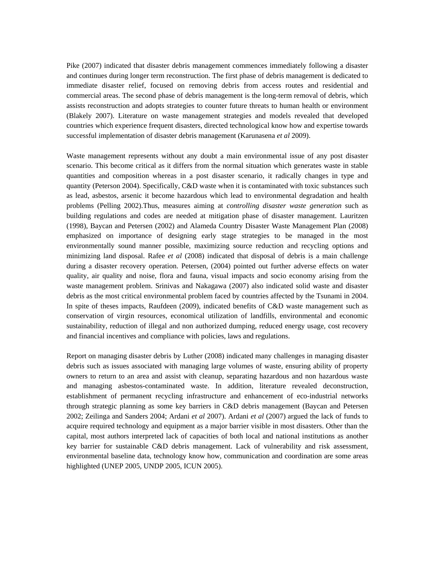Pike (2007) indicated that disaster debris management commences immediately following a disaster and continues during longer term reconstruction. The first phase of debris management is dedicated to immediate disaster relief, focused on removing debris from access routes and residential and commercial areas. The second phase of debris management is the long-term removal of debris, which assists reconstruction and adopts strategies to counter future threats to human health or environment (Blakely 2007). Literature on waste management strategies and models revealed that developed countries which experience frequent disasters, directed technological know how and expertise towards successful implementation of disaster debris management (Karunasena *et al* 2009).

Waste management represents without any doubt a main environmental issue of any post disaster scenario. This become critical as it differs from the normal situation which generates waste in stable quantities and composition whereas in a post disaster scenario, it radically changes in type and quantity (Peterson 2004). Specifically, C&D waste when it is contaminated with toxic substances such as lead, asbestos, arsenic it become hazardous which lead to environmental degradation and health problems (Pelling 2002).Thus, measures aiming at *controlling disaster waste generation* such as building regulations and codes are needed at mitigation phase of disaster management. Lauritzen (1998), Baycan and Petersen (2002) and Alameda Country Disaster Waste Management Plan (2008) emphasized on importance of designing early stage strategies to be managed in the most environmentally sound manner possible, maximizing source reduction and recycling options and minimizing land disposal. Rafee *et al* (2008) indicated that disposal of debris is a main challenge during a disaster recovery operation. Petersen, (2004) pointed out further adverse effects on water quality, air quality and noise, flora and fauna, visual impacts and socio economy arising from the waste management problem. Srinivas and Nakagawa (2007) also indicated solid waste and disaster debris as the most critical environmental problem faced by countries affected by the Tsunami in 2004. In spite of theses impacts, Raufdeen (2009), indicated benefits of C&D waste management such as conservation of virgin resources, economical utilization of landfills, environmental and economic sustainability, reduction of illegal and non authorized dumping, reduced energy usage, cost recovery and financial incentives and compliance with policies, laws and regulations.

Report on managing disaster debris by Luther (2008) indicated many challenges in managing disaster debris such as issues associated with managing large volumes of waste, ensuring ability of property owners to return to an area and assist with cleanup, separating hazardous and non hazardous waste and managing asbestos-contaminated waste. In addition, literature revealed deconstruction, establishment of permanent recycling infrastructure and enhancement of eco-industrial networks through strategic planning as some key barriers in C&D debris management (Baycan and Petersen 2002; Zeilinga and Sanders 2004; Ardani *et al* 2007). Ardani *et al* (2007) argued the lack of funds to acquire required technology and equipment as a major barrier visible in most disasters. Other than the capital, most authors interpreted lack of capacities of both local and national institutions as another key barrier for sustainable C&D debris management. Lack of vulnerability and risk assessment, environmental baseline data, technology know how, communication and coordination are some areas highlighted (UNEP 2005, UNDP 2005, ICUN 2005).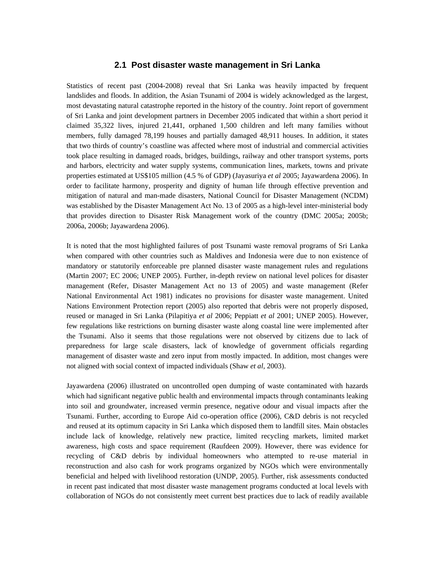#### **2.1 Post disaster waste management in Sri Lanka**

Statistics of recent past (2004-2008) reveal that Sri Lanka was heavily impacted by frequent landslides and floods. In addition, the Asian Tsunami of 2004 is widely acknowledged as the largest, most devastating natural catastrophe reported in the history of the country. Joint report of government of Sri Lanka and joint development partners in December 2005 indicated that within a short period it claimed 35,322 lives, injured 21,441, orphaned 1,500 children and left many families without members, fully damaged 78,199 houses and partially damaged 48,911 houses. In addition, it states that two thirds of country's coastline was affected where most of industrial and commercial activities took place resulting in damaged roads, bridges, buildings, railway and other transport systems, ports and harbors, electricity and water supply systems, communication lines, markets, towns and private properties estimated at US\$105 million (4.5 % of GDP) (Jayasuriya *et al* 2005; Jayawardena 2006). In order to facilitate harmony, prosperity and dignity of human life through effective prevention and mitigation of natural and man-made disasters, National Council for Disaster Management (NCDM) was established by the Disaster Management Act No. 13 of 2005 as a high-level inter-ministerial body that provides direction to Disaster Risk Management work of the country (DMC 2005a; 2005b; 2006a, 2006b; Jayawardena 2006).

It is noted that the most highlighted failures of post Tsunami waste removal programs of Sri Lanka when compared with other countries such as Maldives and Indonesia were due to non existence of mandatory or statutorily enforceable pre planned disaster waste management rules and regulations (Martin 2007; EC 2006; UNEP 2005). Further, in-depth review on national level polices for disaster management (Refer, Disaster Management Act no 13 of 2005) and waste management (Refer National Environmental Act 1981) indicates no provisions for disaster waste management. United Nations Environment Protection report (2005) also reported that debris were not properly disposed, reused or managed in Sri Lanka (Pilapitiya *et al* 2006; Peppiatt *et al* 2001; UNEP 2005). However, few regulations like restrictions on burning disaster waste along coastal line were implemented after the Tsunami. Also it seems that those regulations were not observed by citizens due to lack of preparedness for large scale disasters, lack of knowledge of government officials regarding management of disaster waste and zero input from mostly impacted. In addition, most changes were not aligned with social context of impacted individuals (Shaw *et al*, 2003).

Jayawardena (2006) illustrated on uncontrolled open dumping of waste contaminated with hazards which had significant negative public health and environmental impacts through contaminants leaking into soil and groundwater, increased vermin presence, negative odour and visual impacts after the Tsunami. Further, according to Europe Aid co-operation office (2006), C&D debris is not recycled and reused at its optimum capacity in Sri Lanka which disposed them to landfill sites. Main obstacles include lack of knowledge, relatively new practice, limited recycling markets, limited market awareness, high costs and space requirement (Raufdeen 2009). However, there was evidence for recycling of C&D debris by individual homeowners who attempted to re-use material in reconstruction and also cash for work programs organized by NGOs which were environmentally beneficial and helped with livelihood restoration (UNDP, 2005). Further, risk assessments conducted in recent past indicated that most disaster waste management programs conducted at local levels with collaboration of NGOs do not consistently meet current best practices due to lack of readily available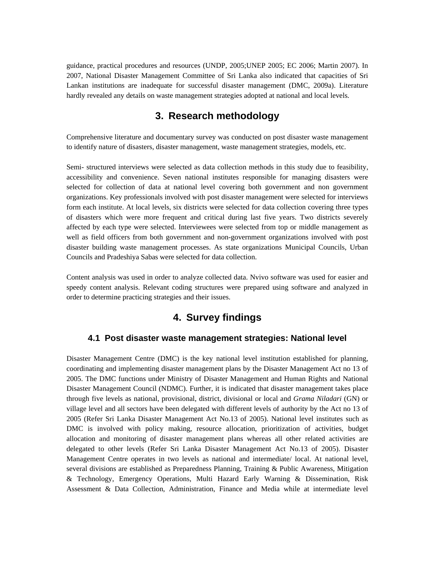guidance, practical procedures and resources (UNDP, 2005;UNEP 2005; EC 2006; Martin 2007). In 2007, National Disaster Management Committee of Sri Lanka also indicated that capacities of Sri Lankan institutions are inadequate for successful disaster management (DMC, 2009a). Literature hardly revealed any details on waste management strategies adopted at national and local levels.

# **3. Research methodology**

Comprehensive literature and documentary survey was conducted on post disaster waste management to identify nature of disasters, disaster management, waste management strategies, models, etc.

Semi- structured interviews were selected as data collection methods in this study due to feasibility, accessibility and convenience. Seven national institutes responsible for managing disasters were selected for collection of data at national level covering both government and non government organizations. Key professionals involved with post disaster management were selected for interviews form each institute. At local levels, six districts were selected for data collection covering three types of disasters which were more frequent and critical during last five years. Two districts severely affected by each type were selected. Interviewees were selected from top or middle management as well as field officers from both government and non-government organizations involved with post disaster building waste management processes. As state organizations Municipal Councils, Urban Councils and Pradeshiya Sabas were selected for data collection.

Content analysis was used in order to analyze collected data. Nvivo software was used for easier and speedy content analysis. Relevant coding structures were prepared using software and analyzed in order to determine practicing strategies and their issues.

# **4. Survey findings**

#### **4.1 Post disaster waste management strategies: National level**

Disaster Management Centre (DMC) is the key national level institution established for planning, coordinating and implementing disaster management plans by the Disaster Management Act no 13 of 2005. The DMC functions under Ministry of Disaster Management and Human Rights and National Disaster Management Council (NDMC). Further, it is indicated that disaster management takes place through five levels as national, provisional, district, divisional or local and *Grama Niladari* (GN) or village level and all sectors have been delegated with different levels of authority by the Act no 13 of 2005 (Refer Sri Lanka Disaster Management Act No.13 of 2005). National level institutes such as DMC is involved with policy making, resource allocation, prioritization of activities, budget allocation and monitoring of disaster management plans whereas all other related activities are delegated to other levels (Refer Sri Lanka Disaster Management Act No.13 of 2005). Disaster Management Centre operates in two levels as national and intermediate/ local. At national level, several divisions are established as Preparedness Planning, Training & Public Awareness, Mitigation & Technology, Emergency Operations, Multi Hazard Early Warning & Dissemination, Risk Assessment & Data Collection, Administration, Finance and Media while at intermediate level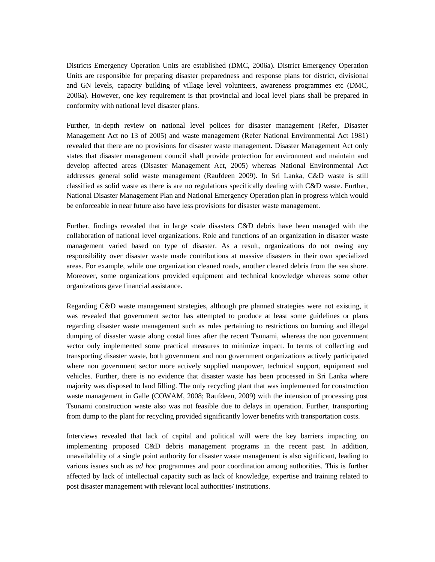Districts Emergency Operation Units are established (DMC, 2006a). District Emergency Operation Units are responsible for preparing disaster preparedness and response plans for district, divisional and GN levels, capacity building of village level volunteers, awareness programmes etc (DMC, 2006a). However, one key requirement is that provincial and local level plans shall be prepared in conformity with national level disaster plans.

Further, in-depth review on national level polices for disaster management (Refer, Disaster Management Act no 13 of 2005) and waste management (Refer National Environmental Act 1981) revealed that there are no provisions for disaster waste management. Disaster Management Act only states that disaster management council shall provide protection for environment and maintain and develop affected areas (Disaster Management Act, 2005) whereas National Environmental Act addresses general solid waste management (Raufdeen 2009). In Sri Lanka, C&D waste is still classified as solid waste as there is are no regulations specifically dealing with C&D waste. Further, National Disaster Management Plan and National Emergency Operation plan in progress which would be enforceable in near future also have less provisions for disaster waste management.

Further, findings revealed that in large scale disasters C&D debris have been managed with the collaboration of national level organizations. Role and functions of an organization in disaster waste management varied based on type of disaster. As a result, organizations do not owing any responsibility over disaster waste made contributions at massive disasters in their own specialized areas. For example, while one organization cleaned roads, another cleared debris from the sea shore. Moreover, some organizations provided equipment and technical knowledge whereas some other organizations gave financial assistance.

Regarding C&D waste management strategies, although pre planned strategies were not existing, it was revealed that government sector has attempted to produce at least some guidelines or plans regarding disaster waste management such as rules pertaining to restrictions on burning and illegal dumping of disaster waste along costal lines after the recent Tsunami, whereas the non government sector only implemented some practical measures to minimize impact. In terms of collecting and transporting disaster waste, both government and non government organizations actively participated where non government sector more actively supplied manpower, technical support, equipment and vehicles. Further, there is no evidence that disaster waste has been processed in Sri Lanka where majority was disposed to land filling. The only recycling plant that was implemented for construction waste management in Galle (COWAM, 2008; Raufdeen, 2009) with the intension of processing post Tsunami construction waste also was not feasible due to delays in operation. Further, transporting from dump to the plant for recycling provided significantly lower benefits with transportation costs.

Interviews revealed that lack of capital and political will were the key barriers impacting on implementing proposed C&D debris management programs in the recent past. In addition, unavailability of a single point authority for disaster waste management is also significant, leading to various issues such as *ad hoc* programmes and poor coordination among authorities. This is further affected by lack of intellectual capacity such as lack of knowledge, expertise and training related to post disaster management with relevant local authorities/ institutions.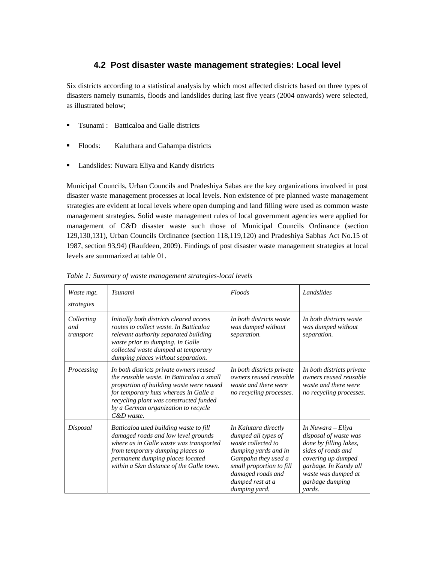### **4.2 Post disaster waste management strategies: Local level**

Six districts according to a statistical analysis by which most affected districts based on three types of disasters namely tsunamis, floods and landslides during last five years (2004 onwards) were selected, as illustrated below;

- **The Term** : Batticaloa and Galle districts
- Floods: Kaluthara and Gahampa districts
- **Landslides: Nuwara Eliya and Kandy districts**

Municipal Councils, Urban Councils and Pradeshiya Sabas are the key organizations involved in post disaster waste management processes at local levels. Non existence of pre planned waste management strategies are evident at local levels where open dumping and land filling were used as common waste management strategies. Solid waste management rules of local government agencies were applied for management of C&D disaster waste such those of Municipal Councils Ordinance (section 129,130,131), Urban Councils Ordinance (section 118,119,120) and Pradeshiya Sabhas Act No.15 of 1987, section 93,94) (Raufdeen, 2009). Findings of post disaster waste management strategies at local levels are summarized at table 01.

| Waste mgt.<br>strategies       | <b>Tsunami</b>                                                                                                                                                                                                                                                              | <b>Floods</b>                                                                                                                                                                                          | Landslides                                                                                                                                                                                    |
|--------------------------------|-----------------------------------------------------------------------------------------------------------------------------------------------------------------------------------------------------------------------------------------------------------------------------|--------------------------------------------------------------------------------------------------------------------------------------------------------------------------------------------------------|-----------------------------------------------------------------------------------------------------------------------------------------------------------------------------------------------|
| Collecting<br>and<br>transport | Initially both districts cleared access<br>routes to collect waste. In Batticaloa<br>relevant authority separated building<br>waste prior to dumping. In Galle<br>collected waste dumped at temporary<br>dumping places without separation.                                 | In both districts waste<br>was dumped without<br>separation.                                                                                                                                           | In both districts waste<br>was dumped without<br>separation.                                                                                                                                  |
| Processing                     | In both districts private owners reused<br>the reusable waste. In Batticaloa a small<br>proportion of building waste were reused<br>for temporary huts whereas in Galle a<br>recycling plant was constructed funded<br>by a German organization to recycle<br>$C\&D$ waste. | In both districts private<br>owners reused reusable<br>waste and there were<br>no recycling processes.                                                                                                 | In both districts private<br>owners reused reusable<br>waste and there were<br>no recycling processes.                                                                                        |
| Disposal                       | Batticaloa used building waste to fill<br>damaged roads and low level grounds<br>where as in Galle waste was transported<br>from temporary dumping places to<br>permanent dumping places located<br>within a 5km distance of the Galle town.                                | In Kalutara directly<br>dumped all types of<br>waste collected to<br>dumping yards and in<br>Gampaha they used a<br>small proportion to fill<br>damaged roads and<br>dumped rest at a<br>dumping yard. | In Nuwara – Eliya<br>disposal of waste was<br>done by filling lakes,<br>sides of roads and<br>covering up dumped<br>garbage. In Kandy all<br>waste was dumped at<br>garbage dumping<br>yards. |

*Table 1: Summary of waste management strategies-local levels*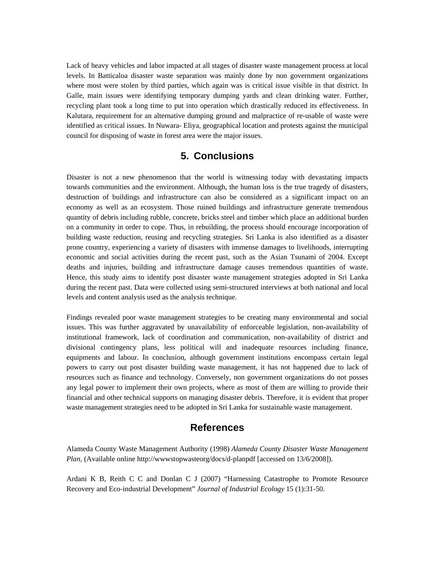Lack of heavy vehicles and labor impacted at all stages of disaster waste management process at local levels. In Batticaloa disaster waste separation was mainly done by non government organizations where most were stolen by third parties, which again was is critical issue visible in that district. In Galle, main issues were identifying temporary dumping yards and clean drinking water. Further, recycling plant took a long time to put into operation which drastically reduced its effectiveness. In Kalutara, requirement for an alternative dumping ground and malpractice of re-usable of waste were identified as critical issues. In Nuwara- Eliya, geographical location and protests against the municipal council for disposing of waste in forest area were the major issues.

# **5. Conclusions**

Disaster is not a new phenomenon that the world is witnessing today with devastating impacts towards communities and the environment. Although, the human loss is the true tragedy of disasters, destruction of buildings and infrastructure can also be considered as a significant impact on an economy as well as an ecosystem. Those ruined buildings and infrastructure generate tremendous quantity of debris including rubble, concrete, bricks steel and timber which place an additional burden on a community in order to cope. Thus, in rebuilding, the process should encourage incorporation of building waste reduction, reusing and recycling strategies. Sri Lanka is also identified as a disaster prone country, experiencing a variety of disasters with immense damages to livelihoods, interrupting economic and social activities during the recent past, such as the Asian Tsunami of 2004. Except deaths and injuries, building and infrastructure damage causes tremendous quantities of waste. Hence, this study aims to identify post disaster waste management strategies adopted in Sri Lanka during the recent past. Data were collected using semi-structured interviews at both national and local levels and content analysis used as the analysis technique.

Findings revealed poor waste management strategies to be creating many environmental and social issues. This was further aggravated by unavailability of enforceable legislation, non-availability of institutional framework, lack of coordination and communication, non-availability of district and divisional contingency plans, less political will and inadequate resources including finance, equipments and labour. In conclusion, although government institutions encompass certain legal powers to carry out post disaster building waste management, it has not happened due to lack of resources such as finance and technology. Conversely, non government organizations do not posses any legal power to implement their own projects, where as most of them are willing to provide their financial and other technical supports on managing disaster debris. Therefore, it is evident that proper waste management strategies need to be adopted in Sri Lanka for sustainable waste management.

## **References**

Alameda County Waste Management Authority (1998) *Alameda County Disaster Waste Management Plan,* (Available online http://wwwstopwasteorg/docs/d-planpdf [accessed on 13/6/2008]).

Ardani K B, Reith C C and Donlan C J (2007) "Harnessing Catastrophe to Promote Resource Recovery and Eco-industrial Development" *Journal of Industrial Ecology* 15 (1):31-50.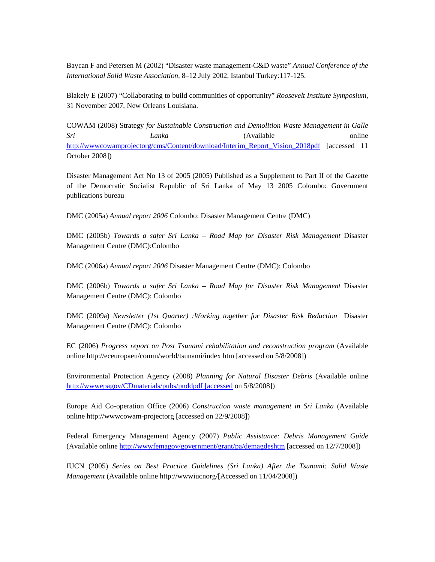Baycan F and Petersen M (2002) "Disaster waste management-C&D waste" *Annual Conference of the International Solid Waste Association,* 8–12 July 2002, Istanbul Turkey:117-125.

Blakely E (2007) "Collaborating to build communities of opportunity" *Roosevelt Institute Symposium,* 31 November 2007, New Orleans Louisiana.

COWAM (2008) Strategy *for Sustainable Construction and Demolition Waste Management in Galle Sri Lanka* (Available online http://wwwcowamprojectorg/cms/Content/download/Interim\_Report\_Vision\_2018pdf [accessed 11 October 2008])

Disaster Management Act No 13 of 2005 (2005) Published as a Supplement to Part II of the Gazette of the Democratic Socialist Republic of Sri Lanka of May 13 2005 Colombo: Government publications bureau

DMC (2005a) *Annual report 2006* Colombo: Disaster Management Centre (DMC)

DMC (2005b) *Towards a safer Sri Lanka – Road Map for Disaster Risk Management* Disaster Management Centre (DMC):Colombo

DMC (2006a) *Annual report 2006* Disaster Management Centre (DMC): Colombo

DMC (2006b) *Towards a safer Sri Lanka – Road Map for Disaster Risk Management* Disaster Management Centre (DMC): Colombo

DMC (2009a) *Newsletter (1st Quarter) :Working together for Disaster Risk Reduction* Disaster Management Centre (DMC): Colombo

EC (2006) *Progress report on Post Tsunami rehabilitation and reconstruction program* (Available online http://eceuropaeu/comm/world/tsunami/index htm [accessed on 5/8/2008])

Environmental Protection Agency (2008) *Planning for Natural Disaster Debris* (Available online http://wwwepagov/CDmaterials/pubs/pnddpdf [accessed on 5/8/2008])

Europe Aid Co-operation Office (2006) *Construction waste management in Sri Lanka* (Available online http://wwwcowam-projectorg [accessed on 22/9/2008])

Federal Emergency Management Agency (2007) *Public Assistance: Debris Management Guide* (Available online http://wwwfemagov/government/grant/pa/demagdeshtm [accessed on 12/7/2008])

IUCN (2005) *Series on Best Practice Guidelines (Sri Lanka) After the Tsunami: Solid Waste Management* (Available online http://wwwiucnorg/[Accessed on 11/04/2008])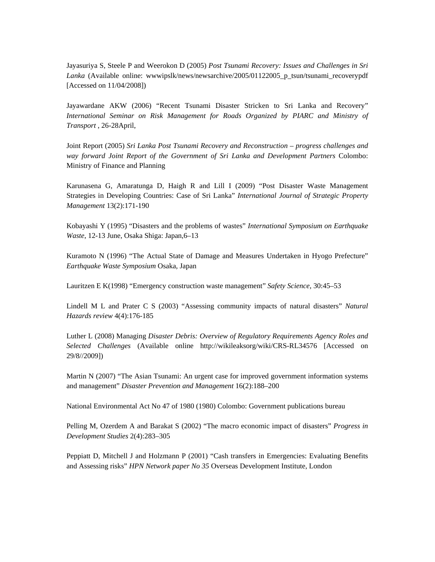Jayasuriya S, Steele P and Weerokon D (2005) *Post Tsunami Recovery: Issues and Challenges in Sri Lanka* (Available online: wwwipslk/news/newsarchive/2005/01122005\_p\_tsun/tsunami\_recoverypdf [Accessed on 11/04/2008])

Jayawardane AKW (2006) "Recent Tsunami Disaster Stricken to Sri Lanka and Recovery" *International Seminar on Risk Management for Roads Organized by PIARC and Ministry of Transport* , 26-28April,

Joint Report (2005) *Sri Lanka Post Tsunami Recovery and Reconstruction – progress challenges and way forward Joint Report of the Government of Sri Lanka and Development Partners* Colombo: Ministry of Finance and Planning

Karunasena G, Amaratunga D, Haigh R and Lill I (2009) "Post Disaster Waste Management Strategies in Developing Countries: Case of Sri Lanka" *International Journal of Strategic Property Management* 13(2):171-190

Kobayashi Y (1995) "Disasters and the problems of wastes" *International Symposium on Earthquake Waste*, 12-13 June, Osaka Shiga: Japan,6–13

Kuramoto N (1996) "The Actual State of Damage and Measures Undertaken in Hyogo Prefecture" *Earthquake Waste Symposium* Osaka, Japan

Lauritzen E K(1998) "Emergency construction waste management" *Safety Science,* 30:45–53

Lindell M L and Prater C S (2003) "Assessing community impacts of natural disasters" *Natural Hazards review* 4(4):176-185

Luther L (2008) Managing *Disaster Debris: Overview of Regulatory Requirements Agency Roles and Selected Challenges* (Available online http://wikileaksorg/wiki/CRS-RL34576 [Accessed on 29/8//2009])

Martin N (2007) "The Asian Tsunami: An urgent case for improved government information systems and management" *Disaster Prevention and Management* 16(2):188–200

National Environmental Act No 47 of 1980 (1980) Colombo: Government publications bureau

Pelling M, Ozerdem A and Barakat S (2002) "The macro economic impact of disasters" *Progress in Development Studies* 2(4):283–305

Peppiatt D, Mitchell J and Holzmann P (2001) "Cash transfers in Emergencies: Evaluating Benefits and Assessing risks" *HPN Network paper No 35* Overseas Development Institute, London